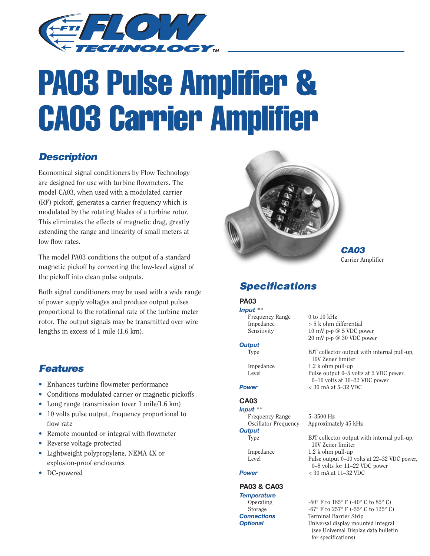

# PA03 Pulse Amplifier & CA03 Carrier Amplifier

# **Description**

Economical signal conditioners by Flow Technology are designed for use with turbine flowmeters. The model CA03, when used with a modulated carrier (RF) pickoff, generates a carrier frequency which is modulated by the rotating blades of a turbine rotor. This eliminates the effects of magnetic drag, greatly extending the range and linearity of small meters at low flow rates.

The model PA03 conditions the output of a standard magnetic pickoff by converting the low-level signal of the pickoff into clean pulse outputs.

Both signal conditioners may be used with a wide range of power supply voltages and produce output pulses proportional to the rotational rate of the turbine meter rotor. The output signals may be transmitted over wire lengths in excess of 1 mile (1.6 km).

# **Features**

- Enhances turbine flowmeter performance
- Conditions modulated carrier or magnetic pickoffs
- Long range transmission (over 1 mile/1.6 km)
- 10 volts pulse output, frequency proportional to flow rate
- Remote mounted or integral with flowmeter
- Reverse voltage protected
- Lightweight polypropylene, NEMA 4X or explosion-proof enclosures
- DC-powered



**CA03** Carrier Amplifier

# **Specifications**

# **PA03**

*Input* \*\* Frequency Range 0 to 10 kHz

### *Output*

### **CA03**

*Input* \*\*

# *Output*

## **PA03 & CA03**

*Temperature* **Connections** Terminal Barrier Strip

Impedance > 5 k ohm differential Sensitivity 10 mV p-p @ 5 VDC power 20 mV p-p @ 30 VDC power

10V Zener limiter

Type BJT collector output with internal pull-up, 10V Zener limiter Impedance 1.2 k ohm pull-up Level Pulse output 0–5 volts at 5 VDC power, 0–10 volts at 10–32 VDC power *Power* < 30 mA at 5–32 VDC

Frequency Range 5–3500 Hz Oscillator Frequency Approximately 45 kHz

Type BJT collector output with internal pull-up,

Impedance 1.2 k ohm pull-up Level Pulse output 0–10 volts at 22–32 VDC power,

0–8 volts for 11–22 VDC power

*Power* < 30 mA at 11–32 VDC Operating  $-40^{\circ}$  F to  $185^{\circ}$  F (-40° C to  $85^{\circ}$  C) Storage  $-67^\circ$  F to  $257^\circ$  F  $(-55^\circ$  C to  $125^\circ$  C)

**Optional** Universal display mounted integral (see Universal Display data bulletin for specifications)